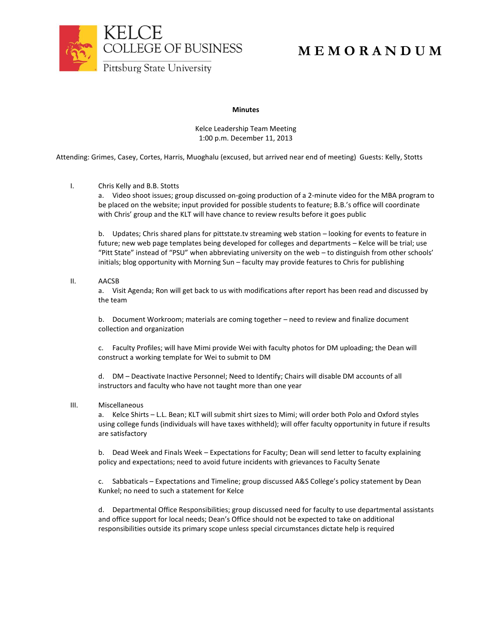

# **M E M O R A N D U M**

## **Minutes**

Kelce Leadership Team Meeting 1:00 p.m. December 11, 2013

Attending: Grimes, Casey, Cortes, Harris, Muoghalu (excused, but arrived near end of meeting) Guests: Kelly, Stotts

## I. Chris Kelly and B.B. Stotts

a. Video shoot issues; group discussed on-going production of a 2-minute video for the MBA program to be placed on the website; input provided for possible students to feature; B.B.'s office will coordinate with Chris' group and the KLT will have chance to review results before it goes public

b. Updates; Chris shared plans for pittstate.tv streaming web station – looking for events to feature in future; new web page templates being developed for colleges and departments – Kelce will be trial; use "Pitt State" instead of "PSU" when abbreviating university on the web – to distinguish from other schools' initials; blog opportunity with Morning Sun – faculty may provide features to Chris for publishing

### II. AACSB

a. Visit Agenda; Ron will get back to us with modifications after report has been read and discussed by the team

b. Document Workroom; materials are coming together – need to review and finalize document collection and organization

c. Faculty Profiles; will have Mimi provide Wei with faculty photos for DM uploading; the Dean will construct a working template for Wei to submit to DM

d. DM – Deactivate Inactive Personnel; Need to Identify; Chairs will disable DM accounts of all instructors and faculty who have not taught more than one year

### III. Miscellaneous

a. Kelce Shirts – L.L. Bean; KLT will submit shirt sizes to Mimi; will order both Polo and Oxford styles using college funds (individuals will have taxes withheld); will offer faculty opportunity in future if results are satisfactory

b. Dead Week and Finals Week – Expectations for Faculty; Dean will send letter to faculty explaining policy and expectations; need to avoid future incidents with grievances to Faculty Senate

c. Sabbaticals – Expectations and Timeline; group discussed A&S College's policy statement by Dean Kunkel; no need to such a statement for Kelce

d. Departmental Office Responsibilities; group discussed need for faculty to use departmental assistants and office support for local needs; Dean's Office should not be expected to take on additional responsibilities outside its primary scope unless special circumstances dictate help is required